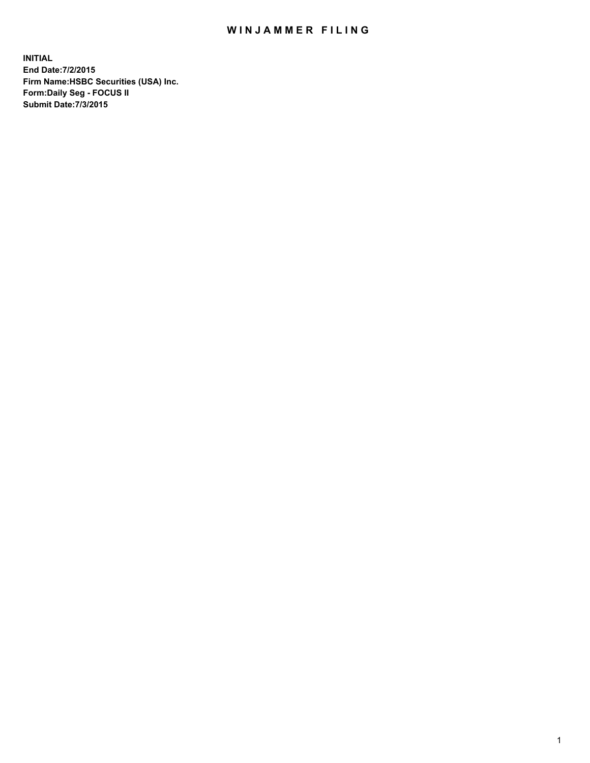## WIN JAMMER FILING

**INITIAL End Date:7/2/2015 Firm Name:HSBC Securities (USA) Inc. Form:Daily Seg - FOCUS II Submit Date:7/3/2015**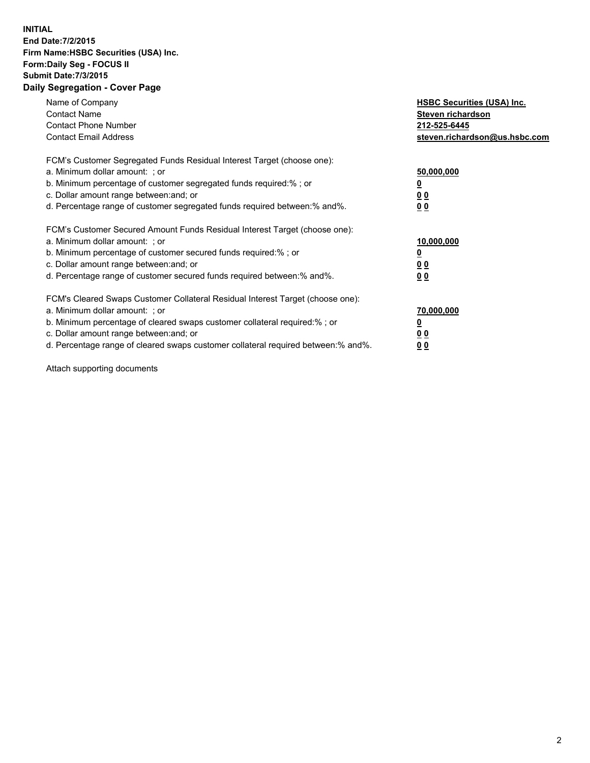## **INITIAL End Date:7/2/2015 Firm Name:HSBC Securities (USA) Inc. Form:Daily Seg - FOCUS II Submit Date:7/3/2015 Daily Segregation - Cover Page**

| Name of Company<br><b>Contact Name</b><br><b>Contact Phone Number</b><br><b>Contact Email Address</b>                                                                                                                                                                                                                         | <b>HSBC Securities (USA) Inc.</b><br>Steven richardson<br>212-525-6445<br>steven.richardson@us.hsbc.com |
|-------------------------------------------------------------------------------------------------------------------------------------------------------------------------------------------------------------------------------------------------------------------------------------------------------------------------------|---------------------------------------------------------------------------------------------------------|
| FCM's Customer Segregated Funds Residual Interest Target (choose one):<br>a. Minimum dollar amount: ; or<br>b. Minimum percentage of customer segregated funds required:% ; or<br>c. Dollar amount range between: and; or<br>d. Percentage range of customer segregated funds required between: % and %.                      | 50,000,000<br>0 <sub>0</sub><br>00                                                                      |
| FCM's Customer Secured Amount Funds Residual Interest Target (choose one):<br>a. Minimum dollar amount: ; or<br>b. Minimum percentage of customer secured funds required:%; or<br>c. Dollar amount range between: and; or<br>d. Percentage range of customer secured funds required between: % and %.                         | 10,000,000<br>00<br>00                                                                                  |
| FCM's Cleared Swaps Customer Collateral Residual Interest Target (choose one):<br>a. Minimum dollar amount: ; or<br>b. Minimum percentage of cleared swaps customer collateral required:%; or<br>c. Dollar amount range between: and; or<br>d. Percentage range of cleared swaps customer collateral required between:% and%. | 70,000,000<br>0 <sub>0</sub><br>00                                                                      |

Attach supporting documents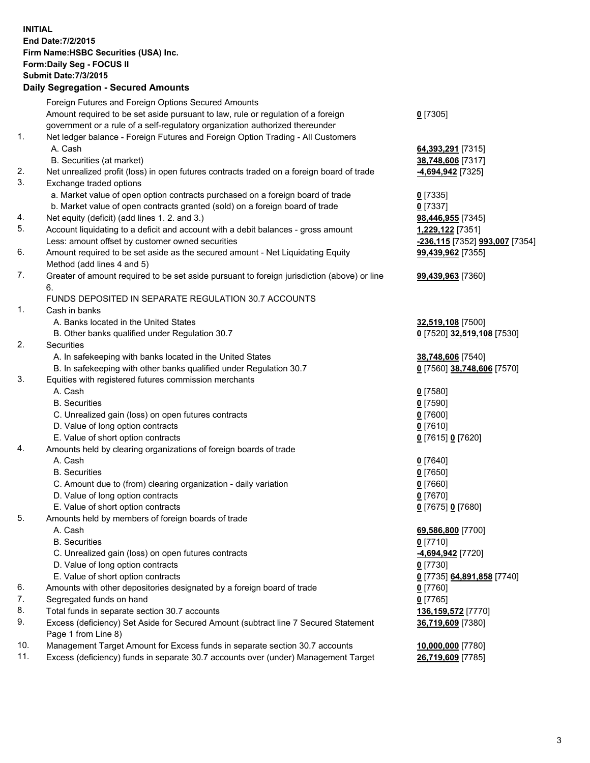**INITIAL End Date:7/2/2015 Firm Name:HSBC Securities (USA) Inc. Form:Daily Seg - FOCUS II Submit Date:7/3/2015 Daily Segregation - Secured Amounts** Foreign Futures and Foreign Options Secured Amounts Amount required to be set aside pursuant to law, rule or regulation of a foreign government or a rule of a self-regulatory organization authorized thereunder **0** [7305] 1. Net ledger balance - Foreign Futures and Foreign Option Trading - All Customers A. Cash **64,393,291** [7315] B. Securities (at market) **38,748,606** [7317] 2. Net unrealized profit (loss) in open futures contracts traded on a foreign board of trade **-4,694,942** [7325] 3. Exchange traded options a. Market value of open option contracts purchased on a foreign board of trade **0** [7335] b. Market value of open contracts granted (sold) on a foreign board of trade **0** [7337] 4. Net equity (deficit) (add lines 1. 2. and 3.) **98,446,955** [7345] 5. Account liquidating to a deficit and account with a debit balances - gross amount **1,229,122** [7351] Less: amount offset by customer owned securities **-236,115** [7352] **993,007** [7354] 6. Amount required to be set aside as the secured amount - Net Liquidating Equity Method (add lines 4 and 5) **99,439,962** [7355] 7. Greater of amount required to be set aside pursuant to foreign jurisdiction (above) or line 6. **99,439,963** [7360] FUNDS DEPOSITED IN SEPARATE REGULATION 30.7 ACCOUNTS 1. Cash in banks A. Banks located in the United States **32,519,108** [7500] B. Other banks qualified under Regulation 30.7 **0** [7520] **32,519,108** [7530] 2. Securities A. In safekeeping with banks located in the United States **38,748,606** [7540] B. In safekeeping with other banks qualified under Regulation 30.7 **0** [7560] **38,748,606** [7570] 3. Equities with registered futures commission merchants A. Cash **0** [7580] B. Securities **0** [7590] C. Unrealized gain (loss) on open futures contracts **0** [7600] D. Value of long option contracts **0** [7610] E. Value of short option contracts **0** [7615] **0** [7620] 4. Amounts held by clearing organizations of foreign boards of trade A. Cash **0** [7640] B. Securities **0** [7650] C. Amount due to (from) clearing organization - daily variation **0** [7660] D. Value of long option contracts **0** [7670] E. Value of short option contracts **0** [7675] **0** [7680] 5. Amounts held by members of foreign boards of trade A. Cash **69,586,800** [7700] B. Securities **0** [7710] C. Unrealized gain (loss) on open futures contracts **-4,694,942** [7720] D. Value of long option contracts **0** [7730] E. Value of short option contracts **0** [7735] **64,891,858** [7740] 6. Amounts with other depositories designated by a foreign board of trade **0** [7760] 7. Segregated funds on hand **0** [7765] 8. Total funds in separate section 30.7 accounts **136,159,572** [7770] 9. Excess (deficiency) Set Aside for Secured Amount (subtract line 7 Secured Statement Page 1 from Line 8) **36,719,609** [7380] 10. Management Target Amount for Excess funds in separate section 30.7 accounts **10,000,000** [7780] 11. Excess (deficiency) funds in separate 30.7 accounts over (under) Management Target **26,719,609** [7785]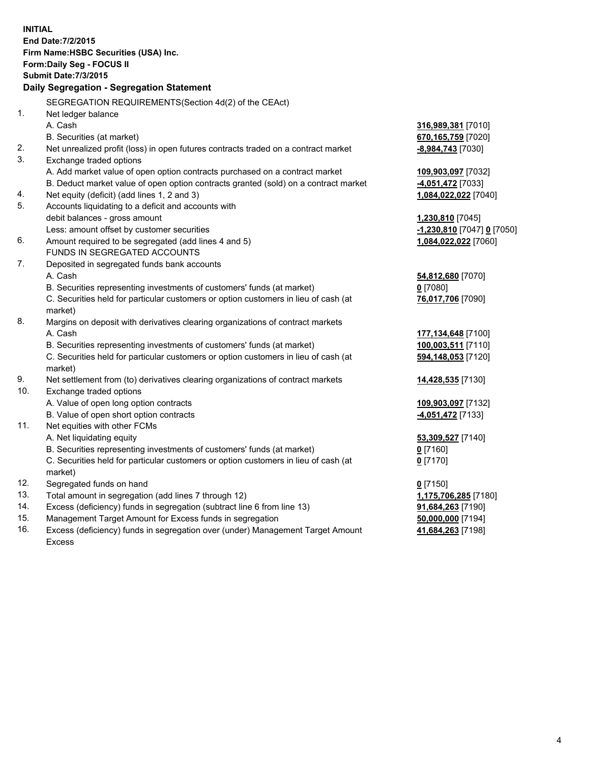| <b>INITIAL</b>                  | End Date: 7/2/2015<br>Firm Name: HSBC Securities (USA) Inc.<br>Form: Daily Seg - FOCUS II<br><b>Submit Date: 7/3/2015</b><br>Daily Segregation - Segregation Statement<br>SEGREGATION REQUIREMENTS(Section 4d(2) of the CEAct)                                                                                             |                                                                                                   |
|---------------------------------|----------------------------------------------------------------------------------------------------------------------------------------------------------------------------------------------------------------------------------------------------------------------------------------------------------------------------|---------------------------------------------------------------------------------------------------|
| 1.                              | Net ledger balance<br>A. Cash<br>B. Securities (at market)                                                                                                                                                                                                                                                                 | 316,989,381 [7010]<br>670,165,759 [7020]                                                          |
| 2.<br>3.                        | Net unrealized profit (loss) in open futures contracts traded on a contract market<br>Exchange traded options                                                                                                                                                                                                              | <u>-8,984,743</u> [7030]                                                                          |
| 4.                              | A. Add market value of open option contracts purchased on a contract market<br>B. Deduct market value of open option contracts granted (sold) on a contract market<br>Net equity (deficit) (add lines 1, 2 and 3)                                                                                                          | 109,903,097 [7032]<br>4,051,472 [7033]<br>1,084,022,022 [7040]                                    |
| 5.                              | Accounts liquidating to a deficit and accounts with<br>debit balances - gross amount<br>Less: amount offset by customer securities                                                                                                                                                                                         | 1,230,810 [7045]<br>-1,230,810 [7047] 0 [7050]                                                    |
| 6.<br>7.                        | Amount required to be segregated (add lines 4 and 5)<br>FUNDS IN SEGREGATED ACCOUNTS                                                                                                                                                                                                                                       | 1,084,022,022 [7060]                                                                              |
|                                 | Deposited in segregated funds bank accounts<br>A. Cash<br>B. Securities representing investments of customers' funds (at market)<br>C. Securities held for particular customers or option customers in lieu of cash (at<br>market)                                                                                         | 54,812,680 [7070]<br>$0$ [7080]<br>76,017,706 [7090]                                              |
| 8.                              | Margins on deposit with derivatives clearing organizations of contract markets<br>A. Cash<br>B. Securities representing investments of customers' funds (at market)<br>C. Securities held for particular customers or option customers in lieu of cash (at<br>market)                                                      | 177,134,648 [7100]<br>100,003,511 [7110]<br>594,148,053 [7120]                                    |
| 9.<br>10.                       | Net settlement from (to) derivatives clearing organizations of contract markets<br>Exchange traded options<br>A. Value of open long option contracts                                                                                                                                                                       | 14,428,535 [7130]<br>109,903,097 [7132]                                                           |
| 11.                             | B. Value of open short option contracts<br>Net equities with other FCMs<br>A. Net liquidating equity<br>B. Securities representing investments of customers' funds (at market)<br>C. Securities held for particular customers or option customers in lieu of cash (at<br>market)                                           | 4,051,472 [7133]<br>53,309,527 [7140]<br>0 [7160]<br>$0$ [7170]                                   |
| 12.<br>13.<br>14.<br>15.<br>16. | Segregated funds on hand<br>Total amount in segregation (add lines 7 through 12)<br>Excess (deficiency) funds in segregation (subtract line 6 from line 13)<br>Management Target Amount for Excess funds in segregation<br>Excess (deficiency) funds in segregation over (under) Management Target Amount<br><b>Excess</b> | $0$ [7150]<br>1,175,706,285 [7180]<br>91,684,263 [7190]<br>50,000,000 [7194]<br>41,684,263 [7198] |